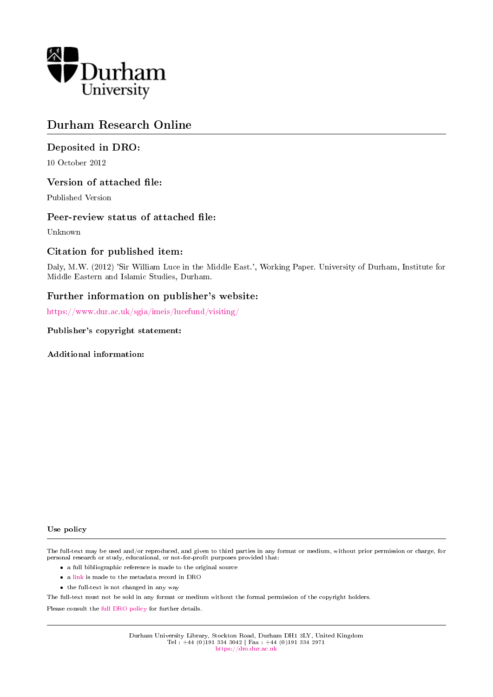

# Durham Research Online

# Deposited in DRO:

10 October 2012

### Version of attached file:

Published Version

### Peer-review status of attached file:

Unknown

# Citation for published item:

Daly, M.W. (2012) 'Sir William Luce in the Middle East.', Working Paper. University of Durham, Institute for Middle Eastern and Islamic Studies, Durham.

# Further information on publisher's website:

<https://www.dur.ac.uk/sgia/imeis/lucefund/visiting/>

### Publisher's copyright statement:

Additional information:

#### Use policy

The full-text may be used and/or reproduced, and given to third parties in any format or medium, without prior permission or charge, for personal research or study, educational, or not-for-profit purposes provided that:

- a full bibliographic reference is made to the original source
- a [link](http://dro.dur.ac.uk/10016/) is made to the metadata record in DRO
- the full-text is not changed in any way

The full-text must not be sold in any format or medium without the formal permission of the copyright holders.

Please consult the [full DRO policy](https://dro.dur.ac.uk/policies/usepolicy.pdf) for further details.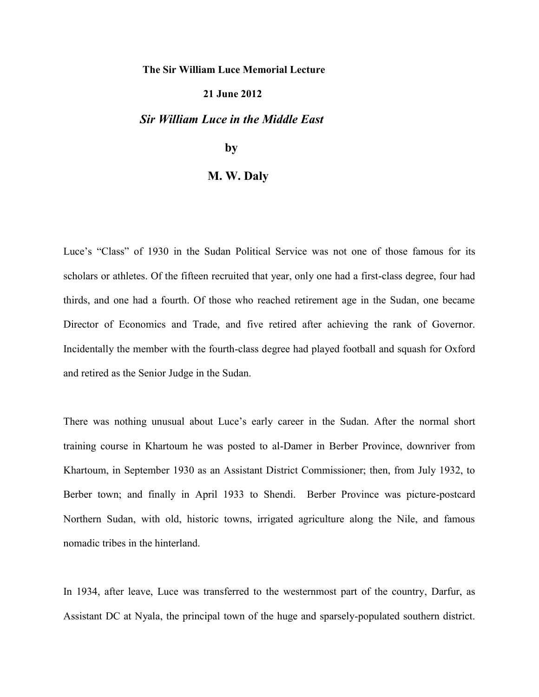### **The Sir William Luce Memorial Lecture**

### **21 June 2012**

### *Sir William Luce in the Middle East*

# **by**

### **M. W. Daly**

Luce's "Class" of 1930 in the Sudan Political Service was not one of those famous for its scholars or athletes. Of the fifteen recruited that year, only one had a first-class degree, four had thirds, and one had a fourth. Of those who reached retirement age in the Sudan, one became Director of Economics and Trade, and five retired after achieving the rank of Governor. Incidentally the member with the fourth-class degree had played football and squash for Oxford and retired as the Senior Judge in the Sudan.

There was nothing unusual about Luce"s early career in the Sudan. After the normal short training course in Khartoum he was posted to al-Damer in Berber Province, downriver from Khartoum, in September 1930 as an Assistant District Commissioner; then, from July 1932, to Berber town; and finally in April 1933 to Shendi. Berber Province was picture-postcard Northern Sudan, with old, historic towns, irrigated agriculture along the Nile, and famous nomadic tribes in the hinterland.

In 1934, after leave, Luce was transferred to the westernmost part of the country, Darfur, as Assistant DC at Nyala, the principal town of the huge and sparsely-populated southern district.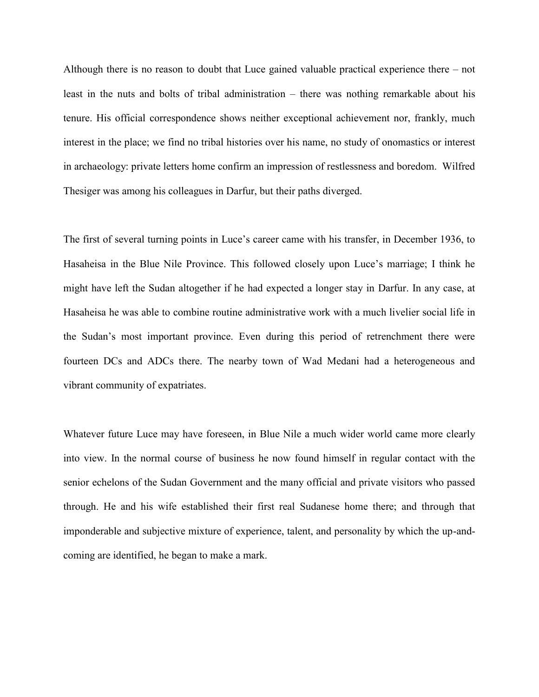Although there is no reason to doubt that Luce gained valuable practical experience there – not least in the nuts and bolts of tribal administration – there was nothing remarkable about his tenure. His official correspondence shows neither exceptional achievement nor, frankly, much interest in the place; we find no tribal histories over his name, no study of onomastics or interest in archaeology: private letters home confirm an impression of restlessness and boredom. Wilfred Thesiger was among his colleagues in Darfur, but their paths diverged.

The first of several turning points in Luce's career came with his transfer, in December 1936, to Hasaheisa in the Blue Nile Province. This followed closely upon Luce"s marriage; I think he might have left the Sudan altogether if he had expected a longer stay in Darfur. In any case, at Hasaheisa he was able to combine routine administrative work with a much livelier social life in the Sudan"s most important province. Even during this period of retrenchment there were fourteen DCs and ADCs there. The nearby town of Wad Medani had a heterogeneous and vibrant community of expatriates.

Whatever future Luce may have foreseen, in Blue Nile a much wider world came more clearly into view. In the normal course of business he now found himself in regular contact with the senior echelons of the Sudan Government and the many official and private visitors who passed through. He and his wife established their first real Sudanese home there; and through that imponderable and subjective mixture of experience, talent, and personality by which the up-andcoming are identified, he began to make a mark.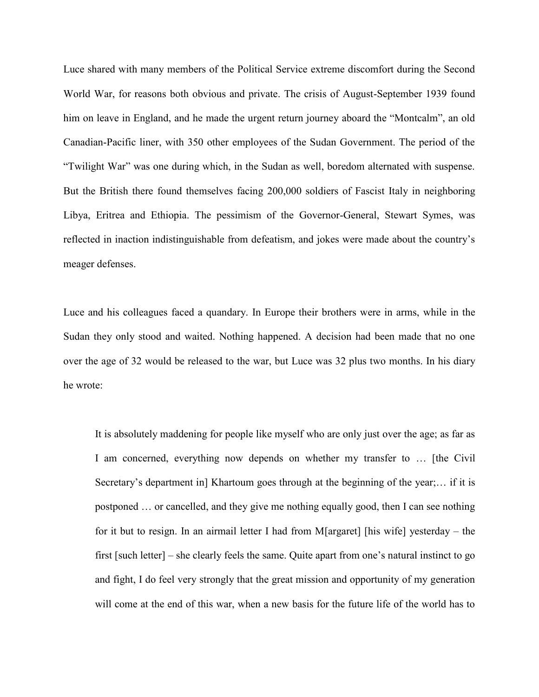Luce shared with many members of the Political Service extreme discomfort during the Second World War, for reasons both obvious and private. The crisis of August-September 1939 found him on leave in England, and he made the urgent return journey aboard the "Montcalm", an old Canadian-Pacific liner, with 350 other employees of the Sudan Government. The period of the "Twilight War" was one during which, in the Sudan as well, boredom alternated with suspense. But the British there found themselves facing 200,000 soldiers of Fascist Italy in neighboring Libya, Eritrea and Ethiopia. The pessimism of the Governor-General, Stewart Symes, was reflected in inaction indistinguishable from defeatism, and jokes were made about the country"s meager defenses.

Luce and his colleagues faced a quandary. In Europe their brothers were in arms, while in the Sudan they only stood and waited. Nothing happened. A decision had been made that no one over the age of 32 would be released to the war, but Luce was 32 plus two months. In his diary he wrote:

It is absolutely maddening for people like myself who are only just over the age; as far as I am concerned, everything now depends on whether my transfer to … [the Civil Secretary's department in] Khartoum goes through at the beginning of the year;... if it is postponed … or cancelled, and they give me nothing equally good, then I can see nothing for it but to resign. In an airmail letter I had from M[argaret] [his wife] yesterday – the first [such letter] – she clearly feels the same. Quite apart from one"s natural instinct to go and fight, I do feel very strongly that the great mission and opportunity of my generation will come at the end of this war, when a new basis for the future life of the world has to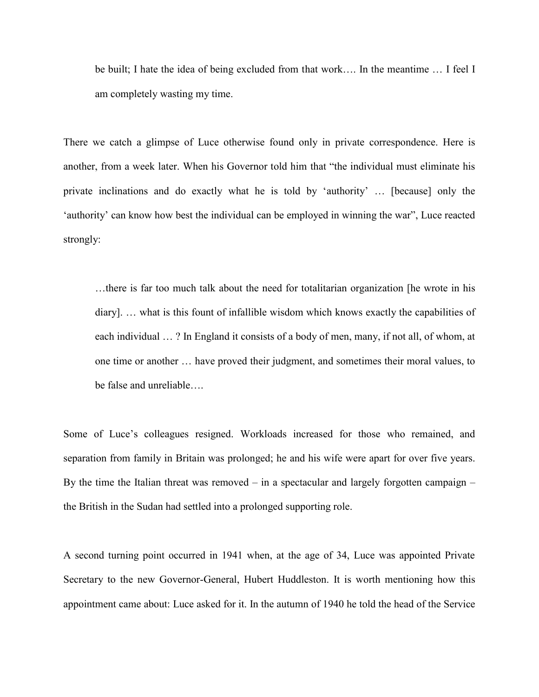be built; I hate the idea of being excluded from that work…. In the meantime … I feel I am completely wasting my time.

There we catch a glimpse of Luce otherwise found only in private correspondence. Here is another, from a week later. When his Governor told him that "the individual must eliminate his private inclinations and do exactly what he is told by "authority" … [because] only the "authority" can know how best the individual can be employed in winning the war", Luce reacted strongly:

…there is far too much talk about the need for totalitarian organization [he wrote in his diary]. … what is this fount of infallible wisdom which knows exactly the capabilities of each individual … ? In England it consists of a body of men, many, if not all, of whom, at one time or another … have proved their judgment, and sometimes their moral values, to be false and unreliable….

Some of Luce's colleagues resigned. Workloads increased for those who remained, and separation from family in Britain was prolonged; he and his wife were apart for over five years. By the time the Italian threat was removed – in a spectacular and largely forgotten campaign – the British in the Sudan had settled into a prolonged supporting role.

A second turning point occurred in 1941 when, at the age of 34, Luce was appointed Private Secretary to the new Governor-General, Hubert Huddleston. It is worth mentioning how this appointment came about: Luce asked for it. In the autumn of 1940 he told the head of the Service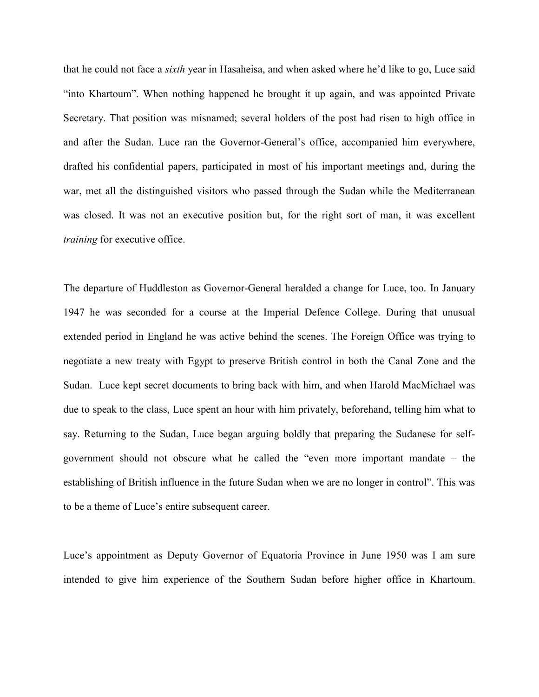that he could not face a *sixth* year in Hasaheisa, and when asked where he"d like to go, Luce said "into Khartoum". When nothing happened he brought it up again, and was appointed Private Secretary. That position was misnamed; several holders of the post had risen to high office in and after the Sudan. Luce ran the Governor-General"s office, accompanied him everywhere, drafted his confidential papers, participated in most of his important meetings and, during the war, met all the distinguished visitors who passed through the Sudan while the Mediterranean was closed. It was not an executive position but, for the right sort of man, it was excellent *training* for executive office.

The departure of Huddleston as Governor-General heralded a change for Luce, too. In January 1947 he was seconded for a course at the Imperial Defence College. During that unusual extended period in England he was active behind the scenes. The Foreign Office was trying to negotiate a new treaty with Egypt to preserve British control in both the Canal Zone and the Sudan. Luce kept secret documents to bring back with him, and when Harold MacMichael was due to speak to the class, Luce spent an hour with him privately, beforehand, telling him what to say. Returning to the Sudan, Luce began arguing boldly that preparing the Sudanese for selfgovernment should not obscure what he called the "even more important mandate – the establishing of British influence in the future Sudan when we are no longer in control". This was to be a theme of Luce"s entire subsequent career.

Luce"s appointment as Deputy Governor of Equatoria Province in June 1950 was I am sure intended to give him experience of the Southern Sudan before higher office in Khartoum.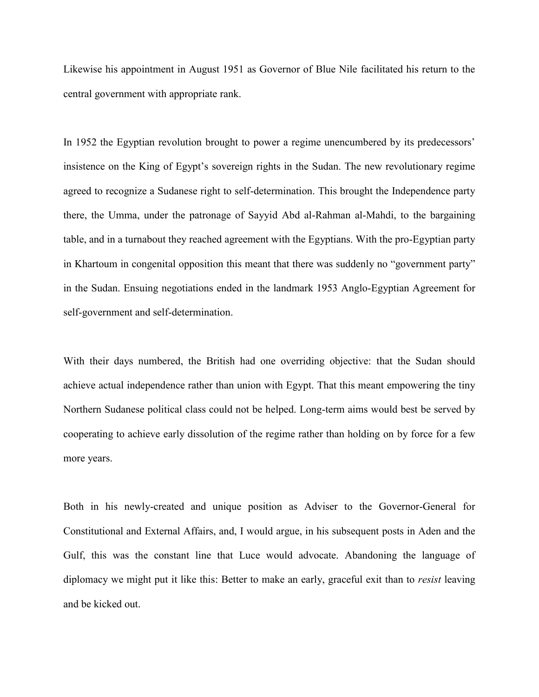Likewise his appointment in August 1951 as Governor of Blue Nile facilitated his return to the central government with appropriate rank.

In 1952 the Egyptian revolution brought to power a regime unencumbered by its predecessors" insistence on the King of Egypt"s sovereign rights in the Sudan. The new revolutionary regime agreed to recognize a Sudanese right to self-determination. This brought the Independence party there, the Umma, under the patronage of Sayyid Abd al-Rahman al-Mahdi, to the bargaining table, and in a turnabout they reached agreement with the Egyptians. With the pro-Egyptian party in Khartoum in congenital opposition this meant that there was suddenly no "government party" in the Sudan. Ensuing negotiations ended in the landmark 1953 Anglo-Egyptian Agreement for self-government and self-determination.

With their days numbered, the British had one overriding objective: that the Sudan should achieve actual independence rather than union with Egypt. That this meant empowering the tiny Northern Sudanese political class could not be helped. Long-term aims would best be served by cooperating to achieve early dissolution of the regime rather than holding on by force for a few more years.

Both in his newly-created and unique position as Adviser to the Governor-General for Constitutional and External Affairs, and, I would argue, in his subsequent posts in Aden and the Gulf, this was the constant line that Luce would advocate. Abandoning the language of diplomacy we might put it like this: Better to make an early, graceful exit than to *resist* leaving and be kicked out.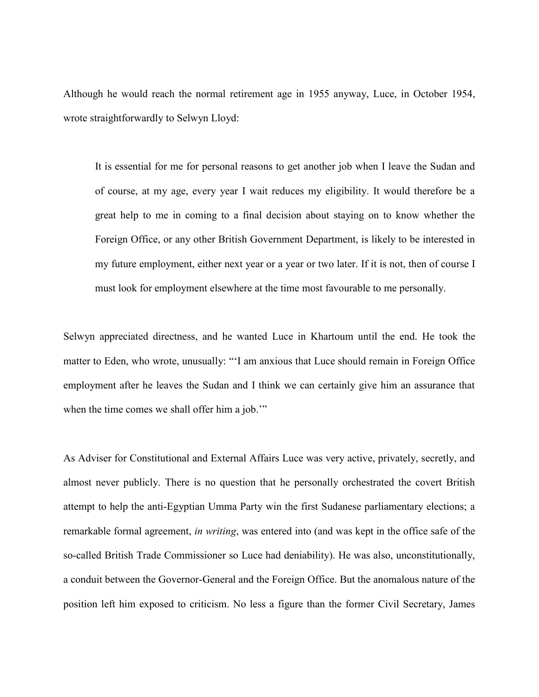Although he would reach the normal retirement age in 1955 anyway, Luce, in October 1954, wrote straightforwardly to Selwyn Lloyd:

It is essential for me for personal reasons to get another job when I leave the Sudan and of course, at my age, every year I wait reduces my eligibility. It would therefore be a great help to me in coming to a final decision about staying on to know whether the Foreign Office, or any other British Government Department, is likely to be interested in my future employment, either next year or a year or two later. If it is not, then of course I must look for employment elsewhere at the time most favourable to me personally.

Selwyn appreciated directness, and he wanted Luce in Khartoum until the end. He took the matter to Eden, who wrote, unusually: ""I am anxious that Luce should remain in Foreign Office employment after he leaves the Sudan and I think we can certainly give him an assurance that when the time comes we shall offer him a job."

As Adviser for Constitutional and External Affairs Luce was very active, privately, secretly, and almost never publicly. There is no question that he personally orchestrated the covert British attempt to help the anti-Egyptian Umma Party win the first Sudanese parliamentary elections; a remarkable formal agreement, *in writing*, was entered into (and was kept in the office safe of the so-called British Trade Commissioner so Luce had deniability). He was also, unconstitutionally, a conduit between the Governor-General and the Foreign Office. But the anomalous nature of the position left him exposed to criticism. No less a figure than the former Civil Secretary, James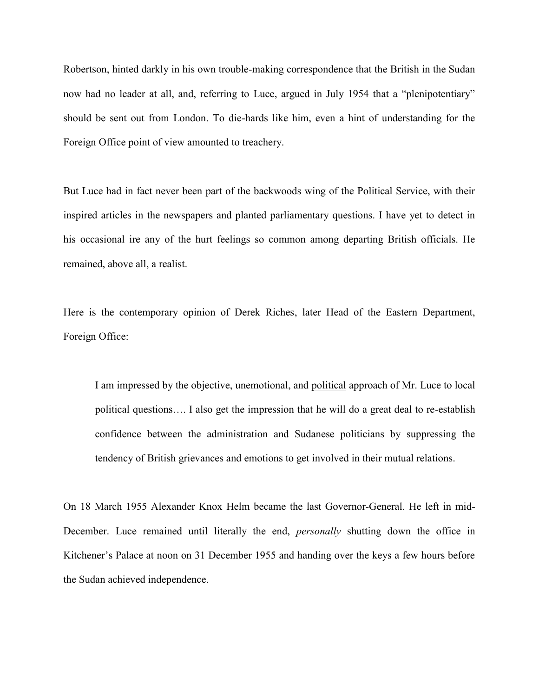Robertson, hinted darkly in his own trouble-making correspondence that the British in the Sudan now had no leader at all, and, referring to Luce, argued in July 1954 that a "plenipotentiary" should be sent out from London. To die-hards like him, even a hint of understanding for the Foreign Office point of view amounted to treachery.

But Luce had in fact never been part of the backwoods wing of the Political Service, with their inspired articles in the newspapers and planted parliamentary questions. I have yet to detect in his occasional ire any of the hurt feelings so common among departing British officials. He remained, above all, a realist.

Here is the contemporary opinion of Derek Riches, later Head of the Eastern Department, Foreign Office:

I am impressed by the objective, unemotional, and political approach of Mr. Luce to local political questions…. I also get the impression that he will do a great deal to re-establish confidence between the administration and Sudanese politicians by suppressing the tendency of British grievances and emotions to get involved in their mutual relations.

On 18 March 1955 Alexander Knox Helm became the last Governor-General. He left in mid-December. Luce remained until literally the end, *personally* shutting down the office in Kitchener's Palace at noon on 31 December 1955 and handing over the keys a few hours before the Sudan achieved independence.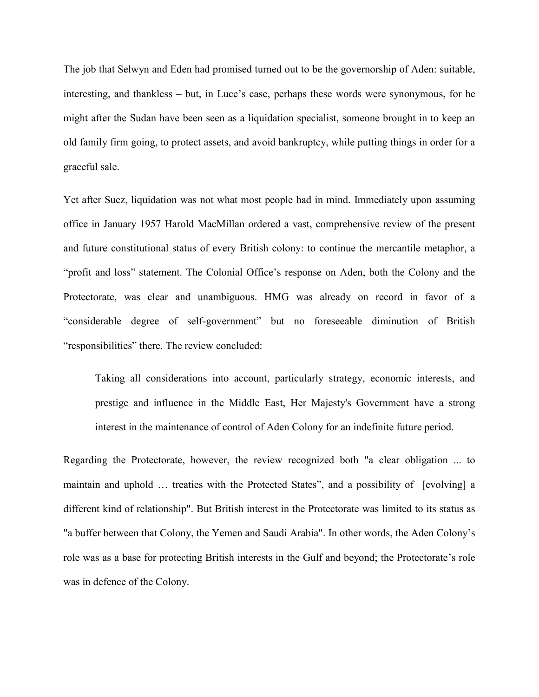The job that Selwyn and Eden had promised turned out to be the governorship of Aden: suitable, interesting, and thankless – but, in Luce"s case, perhaps these words were synonymous, for he might after the Sudan have been seen as a liquidation specialist, someone brought in to keep an old family firm going, to protect assets, and avoid bankruptcy, while putting things in order for a graceful sale.

Yet after Suez, liquidation was not what most people had in mind. Immediately upon assuming office in January 1957 Harold MacMillan ordered a vast, comprehensive review of the present and future constitutional status of every British colony: to continue the mercantile metaphor, a "profit and loss" statement. The Colonial Office"s response on Aden, both the Colony and the Protectorate, was clear and unambiguous. HMG was already on record in favor of a "considerable degree of self-government" but no foreseeable diminution of British "responsibilities" there. The review concluded:

Taking all considerations into account, particularly strategy, economic interests, and prestige and influence in the Middle East, Her Majesty's Government have a strong interest in the maintenance of control of Aden Colony for an indefinite future period.

Regarding the Protectorate, however, the review recognized both "a clear obligation ... to maintain and uphold … treaties with the Protected States", and a possibility of [evolving] a different kind of relationship". But British interest in the Protectorate was limited to its status as "a buffer between that Colony, the Yemen and Saudi Arabia". In other words, the Aden Colony"s role was as a base for protecting British interests in the Gulf and beyond; the Protectorate's role was in defence of the Colony.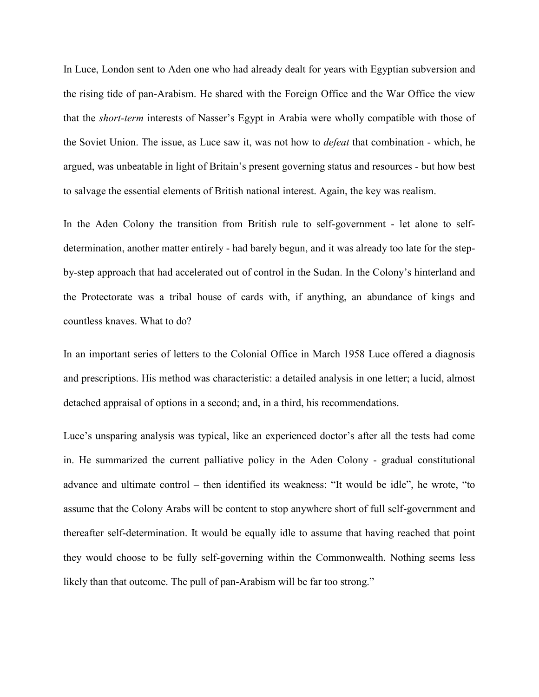In Luce, London sent to Aden one who had already dealt for years with Egyptian subversion and the rising tide of pan-Arabism. He shared with the Foreign Office and the War Office the view that the *short-term* interests of Nasser's Egypt in Arabia were wholly compatible with those of the Soviet Union. The issue, as Luce saw it, was not how to *defeat* that combination - which, he argued, was unbeatable in light of Britain"s present governing status and resources - but how best to salvage the essential elements of British national interest. Again, the key was realism.

In the Aden Colony the transition from British rule to self-government - let alone to selfdetermination, another matter entirely - had barely begun, and it was already too late for the stepby-step approach that had accelerated out of control in the Sudan. In the Colony"s hinterland and the Protectorate was a tribal house of cards with, if anything, an abundance of kings and countless knaves. What to do?

In an important series of letters to the Colonial Office in March 1958 Luce offered a diagnosis and prescriptions. His method was characteristic: a detailed analysis in one letter; a lucid, almost detached appraisal of options in a second; and, in a third, his recommendations.

Luce's unsparing analysis was typical, like an experienced doctor's after all the tests had come in. He summarized the current palliative policy in the Aden Colony - gradual constitutional advance and ultimate control – then identified its weakness: "It would be idle", he wrote, "to assume that the Colony Arabs will be content to stop anywhere short of full self-government and thereafter self-determination. It would be equally idle to assume that having reached that point they would choose to be fully self-governing within the Commonwealth. Nothing seems less likely than that outcome. The pull of pan-Arabism will be far too strong."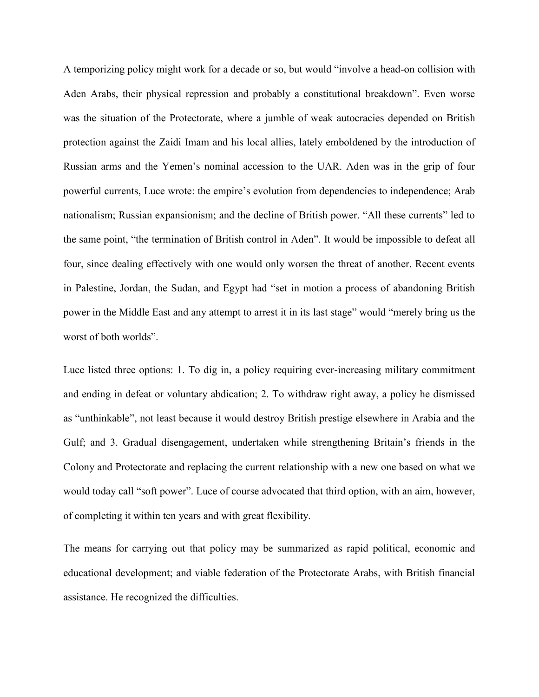A temporizing policy might work for a decade or so, but would "involve a head-on collision with Aden Arabs, their physical repression and probably a constitutional breakdown". Even worse was the situation of the Protectorate, where a jumble of weak autocracies depended on British protection against the Zaidi Imam and his local allies, lately emboldened by the introduction of Russian arms and the Yemen"s nominal accession to the UAR. Aden was in the grip of four powerful currents, Luce wrote: the empire's evolution from dependencies to independence; Arab nationalism; Russian expansionism; and the decline of British power. "All these currents" led to the same point, "the termination of British control in Aden". It would be impossible to defeat all four, since dealing effectively with one would only worsen the threat of another. Recent events in Palestine, Jordan, the Sudan, and Egypt had "set in motion a process of abandoning British power in the Middle East and any attempt to arrest it in its last stage" would "merely bring us the worst of both worlds".

Luce listed three options: 1. To dig in, a policy requiring ever-increasing military commitment and ending in defeat or voluntary abdication; 2. To withdraw right away, a policy he dismissed as "unthinkable", not least because it would destroy British prestige elsewhere in Arabia and the Gulf; and 3. Gradual disengagement, undertaken while strengthening Britain"s friends in the Colony and Protectorate and replacing the current relationship with a new one based on what we would today call "soft power". Luce of course advocated that third option, with an aim, however, of completing it within ten years and with great flexibility.

The means for carrying out that policy may be summarized as rapid political, economic and educational development; and viable federation of the Protectorate Arabs, with British financial assistance. He recognized the difficulties.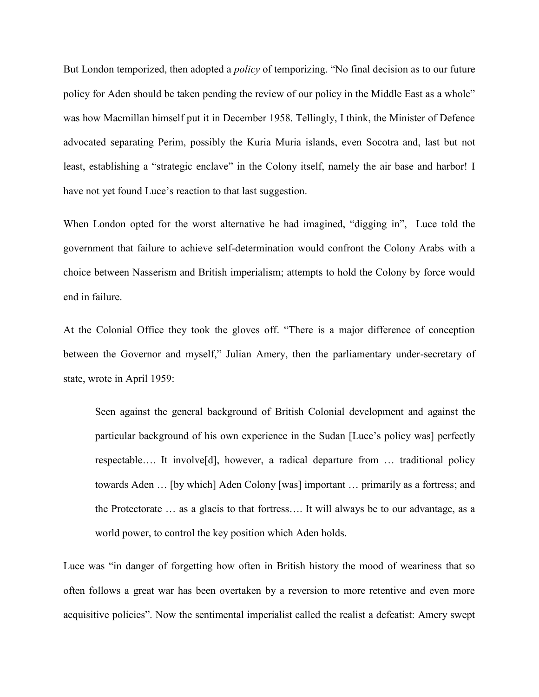But London temporized, then adopted a *policy* of temporizing. "No final decision as to our future policy for Aden should be taken pending the review of our policy in the Middle East as a whole" was how Macmillan himself put it in December 1958. Tellingly, I think, the Minister of Defence advocated separating Perim, possibly the Kuria Muria islands, even Socotra and, last but not least, establishing a "strategic enclave" in the Colony itself, namely the air base and harbor! I have not yet found Luce's reaction to that last suggestion.

When London opted for the worst alternative he had imagined, "digging in", Luce told the government that failure to achieve self-determination would confront the Colony Arabs with a choice between Nasserism and British imperialism; attempts to hold the Colony by force would end in failure.

At the Colonial Office they took the gloves off. "There is a major difference of conception between the Governor and myself," Julian Amery, then the parliamentary under-secretary of state, wrote in April 1959:

Seen against the general background of British Colonial development and against the particular background of his own experience in the Sudan [Luce"s policy was] perfectly respectable…. It involve[d], however, a radical departure from … traditional policy towards Aden … [by which] Aden Colony [was] important … primarily as a fortress; and the Protectorate … as a glacis to that fortress…. It will always be to our advantage, as a world power, to control the key position which Aden holds.

Luce was "in danger of forgetting how often in British history the mood of weariness that so often follows a great war has been overtaken by a reversion to more retentive and even more acquisitive policies". Now the sentimental imperialist called the realist a defeatist: Amery swept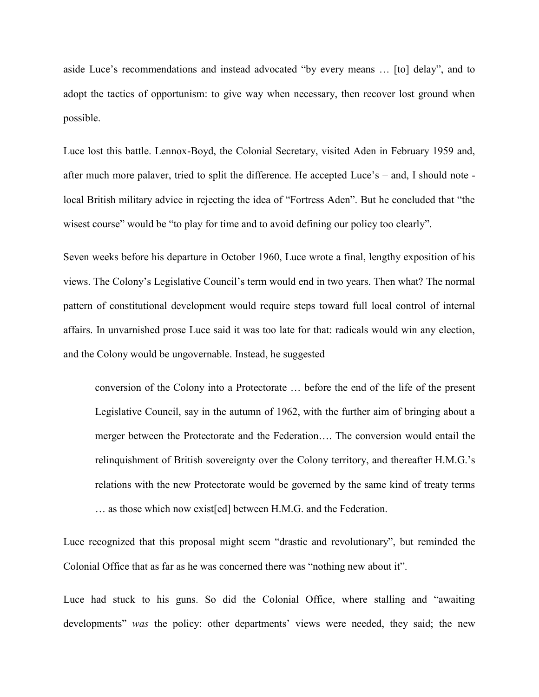aside Luce's recommendations and instead advocated "by every means ... [to] delay", and to adopt the tactics of opportunism: to give way when necessary, then recover lost ground when possible.

Luce lost this battle. Lennox-Boyd, the Colonial Secretary, visited Aden in February 1959 and, after much more palaver, tried to split the difference. He accepted Luce"s – and, I should note local British military advice in rejecting the idea of "Fortress Aden". But he concluded that "the wisest course" would be "to play for time and to avoid defining our policy too clearly".

Seven weeks before his departure in October 1960, Luce wrote a final, lengthy exposition of his views. The Colony"s Legislative Council"s term would end in two years. Then what? The normal pattern of constitutional development would require steps toward full local control of internal affairs. In unvarnished prose Luce said it was too late for that: radicals would win any election, and the Colony would be ungovernable. Instead, he suggested

conversion of the Colony into a Protectorate … before the end of the life of the present Legislative Council, say in the autumn of 1962, with the further aim of bringing about a merger between the Protectorate and the Federation…. The conversion would entail the relinquishment of British sovereignty over the Colony territory, and thereafter H.M.G."s relations with the new Protectorate would be governed by the same kind of treaty terms … as those which now exist[ed] between H.M.G. and the Federation.

Luce recognized that this proposal might seem "drastic and revolutionary", but reminded the Colonial Office that as far as he was concerned there was "nothing new about it".

Luce had stuck to his guns. So did the Colonial Office, where stalling and "awaiting developments" *was* the policy: other departments' views were needed, they said; the new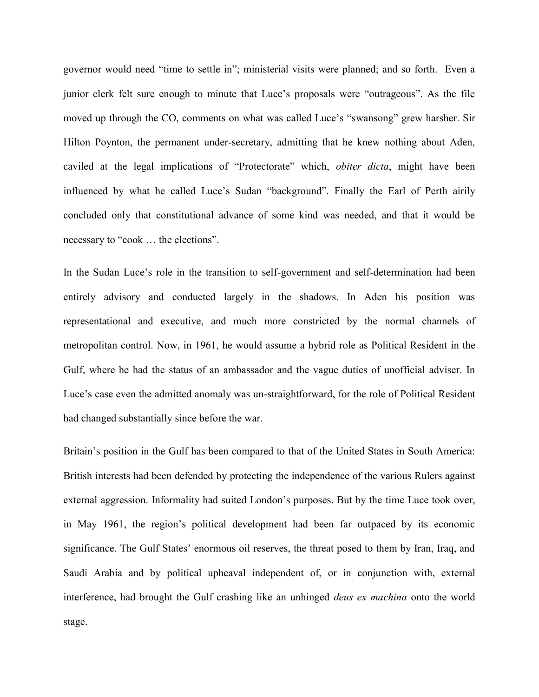governor would need "time to settle in"; ministerial visits were planned; and so forth. Even a junior clerk felt sure enough to minute that Luce"s proposals were "outrageous". As the file moved up through the CO, comments on what was called Luce"s "swansong" grew harsher. Sir Hilton Poynton, the permanent under-secretary, admitting that he knew nothing about Aden, caviled at the legal implications of "Protectorate" which, *obiter dicta*, might have been influenced by what he called Luce's Sudan "background". Finally the Earl of Perth airily concluded only that constitutional advance of some kind was needed, and that it would be necessary to "cook … the elections".

In the Sudan Luce's role in the transition to self-government and self-determination had been entirely advisory and conducted largely in the shadows. In Aden his position was representational and executive, and much more constricted by the normal channels of metropolitan control. Now, in 1961, he would assume a hybrid role as Political Resident in the Gulf, where he had the status of an ambassador and the vague duties of unofficial adviser. In Luce"s case even the admitted anomaly was un-straightforward, for the role of Political Resident had changed substantially since before the war.

Britain's position in the Gulf has been compared to that of the United States in South America: British interests had been defended by protecting the independence of the various Rulers against external aggression. Informality had suited London"s purposes. But by the time Luce took over, in May 1961, the region"s political development had been far outpaced by its economic significance. The Gulf States' enormous oil reserves, the threat posed to them by Iran, Iraq, and Saudi Arabia and by political upheaval independent of, or in conjunction with, external interference, had brought the Gulf crashing like an unhinged *deus ex machina* onto the world stage.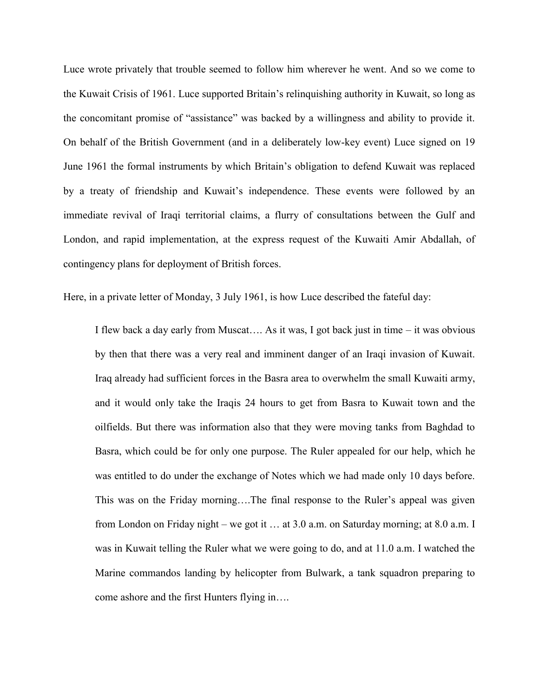Luce wrote privately that trouble seemed to follow him wherever he went. And so we come to the Kuwait Crisis of 1961. Luce supported Britain"s relinquishing authority in Kuwait, so long as the concomitant promise of "assistance" was backed by a willingness and ability to provide it. On behalf of the British Government (and in a deliberately low-key event) Luce signed on 19 June 1961 the formal instruments by which Britain"s obligation to defend Kuwait was replaced by a treaty of friendship and Kuwait's independence. These events were followed by an immediate revival of Iraqi territorial claims, a flurry of consultations between the Gulf and London, and rapid implementation, at the express request of the Kuwaiti Amir Abdallah, of contingency plans for deployment of British forces.

Here, in a private letter of Monday, 3 July 1961, is how Luce described the fateful day:

I flew back a day early from Muscat…. As it was, I got back just in time – it was obvious by then that there was a very real and imminent danger of an Iraqi invasion of Kuwait. Iraq already had sufficient forces in the Basra area to overwhelm the small Kuwaiti army, and it would only take the Iraqis 24 hours to get from Basra to Kuwait town and the oilfields. But there was information also that they were moving tanks from Baghdad to Basra, which could be for only one purpose. The Ruler appealed for our help, which he was entitled to do under the exchange of Notes which we had made only 10 days before. This was on the Friday morning….The final response to the Ruler's appeal was given from London on Friday night – we got it … at 3.0 a.m. on Saturday morning; at 8.0 a.m. I was in Kuwait telling the Ruler what we were going to do, and at 11.0 a.m. I watched the Marine commandos landing by helicopter from Bulwark, a tank squadron preparing to come ashore and the first Hunters flying in….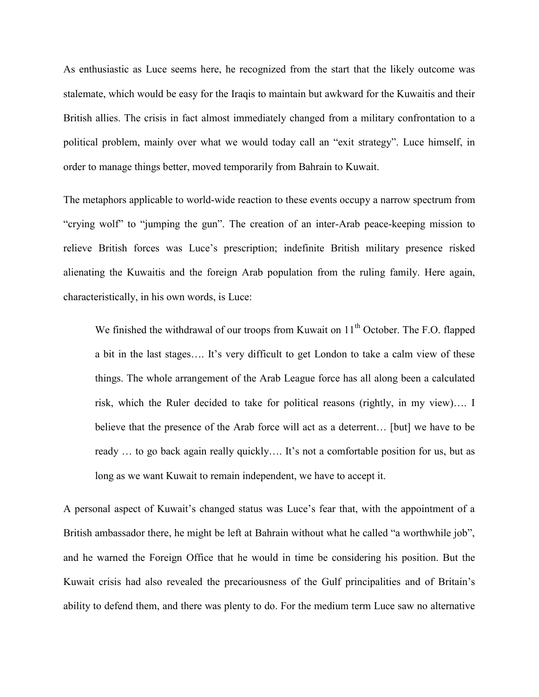As enthusiastic as Luce seems here, he recognized from the start that the likely outcome was stalemate, which would be easy for the Iraqis to maintain but awkward for the Kuwaitis and their British allies. The crisis in fact almost immediately changed from a military confrontation to a political problem, mainly over what we would today call an "exit strategy". Luce himself, in order to manage things better, moved temporarily from Bahrain to Kuwait.

The metaphors applicable to world-wide reaction to these events occupy a narrow spectrum from "crying wolf" to "jumping the gun". The creation of an inter-Arab peace-keeping mission to relieve British forces was Luce"s prescription; indefinite British military presence risked alienating the Kuwaitis and the foreign Arab population from the ruling family. Here again, characteristically, in his own words, is Luce:

We finished the withdrawal of our troops from Kuwait on  $11<sup>th</sup>$  October. The F.O. flapped a bit in the last stages.... It's very difficult to get London to take a calm view of these things. The whole arrangement of the Arab League force has all along been a calculated risk, which the Ruler decided to take for political reasons (rightly, in my view)…. I believe that the presence of the Arab force will act as a deterrent… [but] we have to be ready ... to go back again really quickly.... It's not a comfortable position for us, but as long as we want Kuwait to remain independent, we have to accept it.

A personal aspect of Kuwait's changed status was Luce's fear that, with the appointment of a British ambassador there, he might be left at Bahrain without what he called "a worthwhile job", and he warned the Foreign Office that he would in time be considering his position. But the Kuwait crisis had also revealed the precariousness of the Gulf principalities and of Britain"s ability to defend them, and there was plenty to do. For the medium term Luce saw no alternative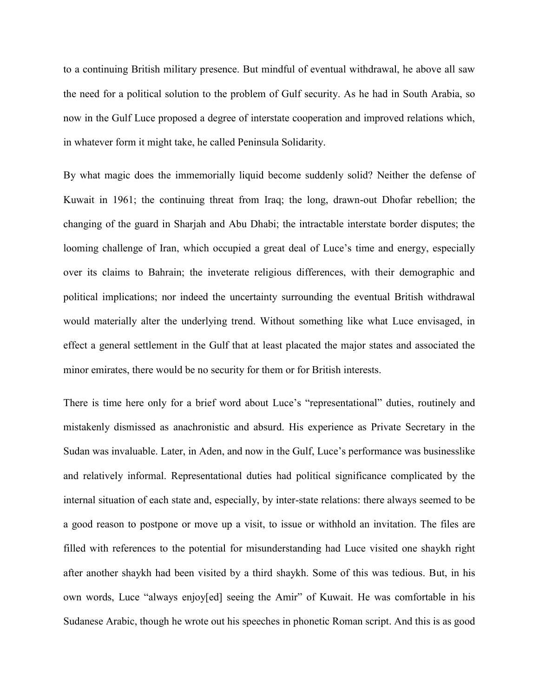to a continuing British military presence. But mindful of eventual withdrawal, he above all saw the need for a political solution to the problem of Gulf security. As he had in South Arabia, so now in the Gulf Luce proposed a degree of interstate cooperation and improved relations which, in whatever form it might take, he called Peninsula Solidarity.

By what magic does the immemorially liquid become suddenly solid? Neither the defense of Kuwait in 1961; the continuing threat from Iraq; the long, drawn-out Dhofar rebellion; the changing of the guard in Sharjah and Abu Dhabi; the intractable interstate border disputes; the looming challenge of Iran, which occupied a great deal of Luce's time and energy, especially over its claims to Bahrain; the inveterate religious differences, with their demographic and political implications; nor indeed the uncertainty surrounding the eventual British withdrawal would materially alter the underlying trend. Without something like what Luce envisaged, in effect a general settlement in the Gulf that at least placated the major states and associated the minor emirates, there would be no security for them or for British interests.

There is time here only for a brief word about Luce"s "representational" duties, routinely and mistakenly dismissed as anachronistic and absurd. His experience as Private Secretary in the Sudan was invaluable. Later, in Aden, and now in the Gulf, Luce"s performance was businesslike and relatively informal. Representational duties had political significance complicated by the internal situation of each state and, especially, by inter-state relations: there always seemed to be a good reason to postpone or move up a visit, to issue or withhold an invitation. The files are filled with references to the potential for misunderstanding had Luce visited one shaykh right after another shaykh had been visited by a third shaykh. Some of this was tedious. But, in his own words, Luce "always enjoy[ed] seeing the Amir" of Kuwait. He was comfortable in his Sudanese Arabic, though he wrote out his speeches in phonetic Roman script. And this is as good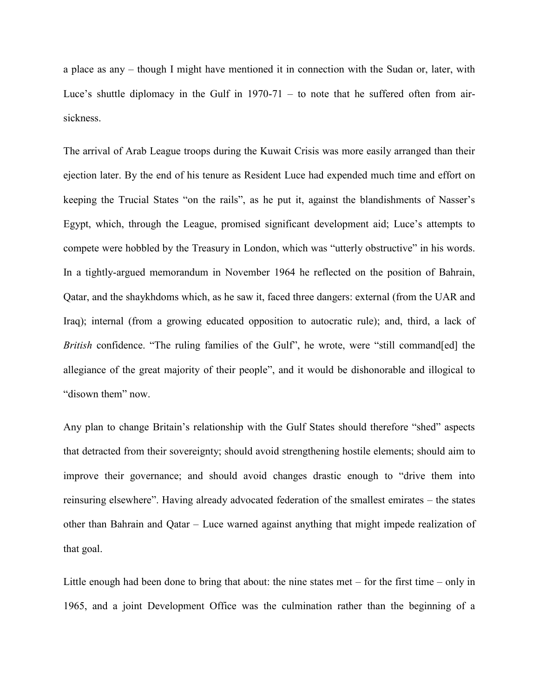a place as any – though I might have mentioned it in connection with the Sudan or, later, with Luce's shuttle diplomacy in the Gulf in  $1970-71 -$  to note that he suffered often from airsickness.

The arrival of Arab League troops during the Kuwait Crisis was more easily arranged than their ejection later. By the end of his tenure as Resident Luce had expended much time and effort on keeping the Trucial States "on the rails", as he put it, against the blandishments of Nasser's Egypt, which, through the League, promised significant development aid; Luce's attempts to compete were hobbled by the Treasury in London, which was "utterly obstructive" in his words. In a tightly-argued memorandum in November 1964 he reflected on the position of Bahrain, Qatar, and the shaykhdoms which, as he saw it, faced three dangers: external (from the UAR and Iraq); internal (from a growing educated opposition to autocratic rule); and, third, a lack of *British* confidence. "The ruling families of the Gulf", he wrote, were "still command[ed] the allegiance of the great majority of their people", and it would be dishonorable and illogical to "disown them" now.

Any plan to change Britain"s relationship with the Gulf States should therefore "shed" aspects that detracted from their sovereignty; should avoid strengthening hostile elements; should aim to improve their governance; and should avoid changes drastic enough to "drive them into reinsuring elsewhere". Having already advocated federation of the smallest emirates – the states other than Bahrain and Qatar – Luce warned against anything that might impede realization of that goal.

Little enough had been done to bring that about: the nine states met – for the first time – only in 1965, and a joint Development Office was the culmination rather than the beginning of a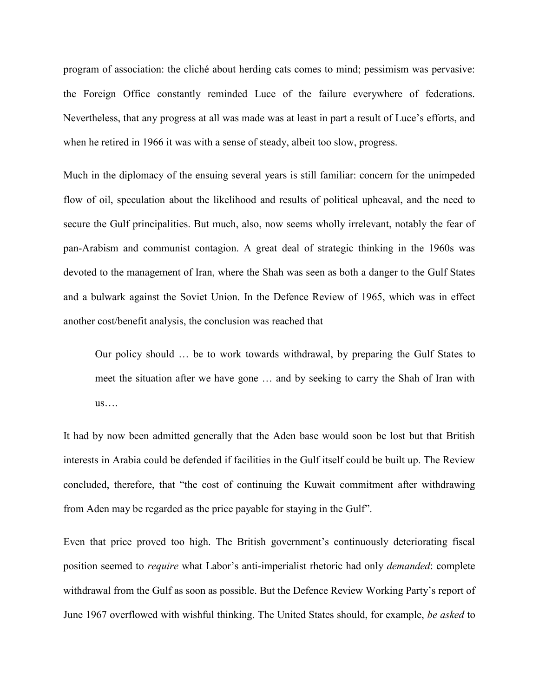program of association: the cliché about herding cats comes to mind; pessimism was pervasive: the Foreign Office constantly reminded Luce of the failure everywhere of federations. Nevertheless, that any progress at all was made was at least in part a result of Luce"s efforts, and when he retired in 1966 it was with a sense of steady, albeit too slow, progress.

Much in the diplomacy of the ensuing several years is still familiar: concern for the unimpeded flow of oil, speculation about the likelihood and results of political upheaval, and the need to secure the Gulf principalities. But much, also, now seems wholly irrelevant, notably the fear of pan-Arabism and communist contagion. A great deal of strategic thinking in the 1960s was devoted to the management of Iran, where the Shah was seen as both a danger to the Gulf States and a bulwark against the Soviet Union. In the Defence Review of 1965, which was in effect another cost/benefit analysis, the conclusion was reached that

Our policy should … be to work towards withdrawal, by preparing the Gulf States to meet the situation after we have gone … and by seeking to carry the Shah of Iran with us….

It had by now been admitted generally that the Aden base would soon be lost but that British interests in Arabia could be defended if facilities in the Gulf itself could be built up. The Review concluded, therefore, that "the cost of continuing the Kuwait commitment after withdrawing from Aden may be regarded as the price payable for staying in the Gulf".

Even that price proved too high. The British government's continuously deteriorating fiscal position seemed to *require* what Labor"s anti-imperialist rhetoric had only *demanded*: complete withdrawal from the Gulf as soon as possible. But the Defence Review Working Party's report of June 1967 overflowed with wishful thinking. The United States should, for example, *be asked* to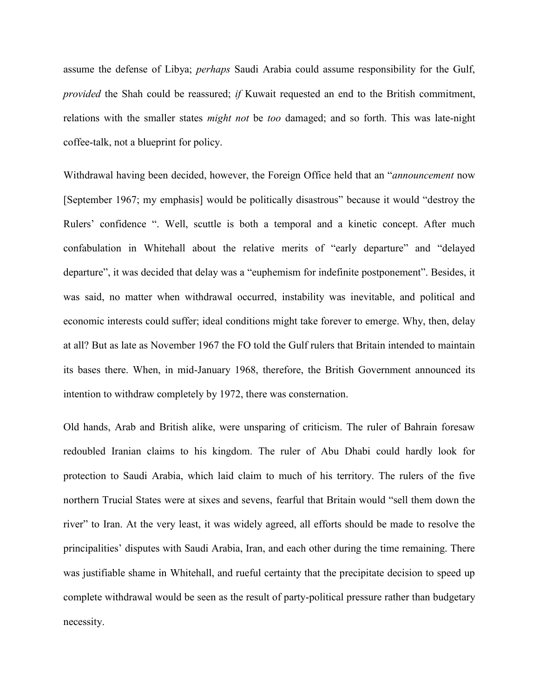assume the defense of Libya; *perhaps* Saudi Arabia could assume responsibility for the Gulf, *provided* the Shah could be reassured; *if* Kuwait requested an end to the British commitment, relations with the smaller states *might not* be *too* damaged; and so forth. This was late-night coffee-talk, not a blueprint for policy.

Withdrawal having been decided, however, the Foreign Office held that an "*announcement* now [September 1967; my emphasis] would be politically disastrous" because it would "destroy the Rulers' confidence ". Well, scuttle is both a temporal and a kinetic concept. After much confabulation in Whitehall about the relative merits of "early departure" and "delayed departure", it was decided that delay was a "euphemism for indefinite postponement". Besides, it was said, no matter when withdrawal occurred, instability was inevitable, and political and economic interests could suffer; ideal conditions might take forever to emerge. Why, then, delay at all? But as late as November 1967 the FO told the Gulf rulers that Britain intended to maintain its bases there. When, in mid-January 1968, therefore, the British Government announced its intention to withdraw completely by 1972, there was consternation.

Old hands, Arab and British alike, were unsparing of criticism. The ruler of Bahrain foresaw redoubled Iranian claims to his kingdom. The ruler of Abu Dhabi could hardly look for protection to Saudi Arabia, which laid claim to much of his territory. The rulers of the five northern Trucial States were at sixes and sevens, fearful that Britain would "sell them down the river" to Iran. At the very least, it was widely agreed, all efforts should be made to resolve the principalities' disputes with Saudi Arabia, Iran, and each other during the time remaining. There was justifiable shame in Whitehall, and rueful certainty that the precipitate decision to speed up complete withdrawal would be seen as the result of party-political pressure rather than budgetary necessity.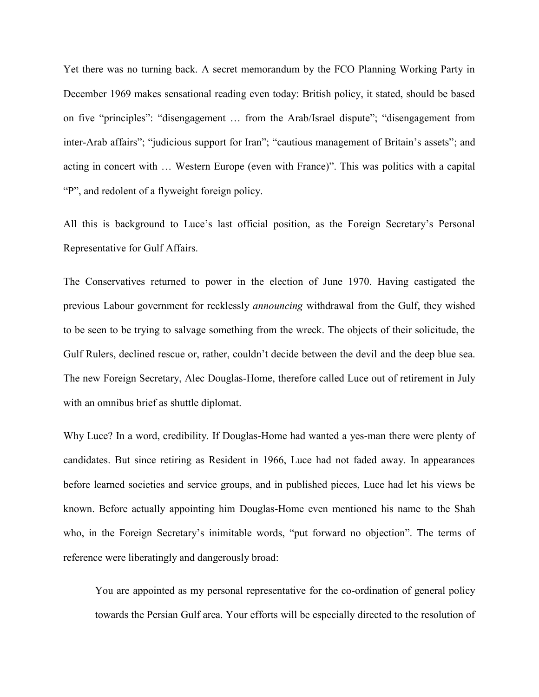Yet there was no turning back. A secret memorandum by the FCO Planning Working Party in December 1969 makes sensational reading even today: British policy, it stated, should be based on five "principles": "disengagement … from the Arab/Israel dispute"; "disengagement from inter-Arab affairs"; "judicious support for Iran"; "cautious management of Britain"s assets"; and acting in concert with … Western Europe (even with France)". This was politics with a capital "P", and redolent of a flyweight foreign policy.

All this is background to Luce's last official position, as the Foreign Secretary's Personal Representative for Gulf Affairs.

The Conservatives returned to power in the election of June 1970. Having castigated the previous Labour government for recklessly *announcing* withdrawal from the Gulf, they wished to be seen to be trying to salvage something from the wreck. The objects of their solicitude, the Gulf Rulers, declined rescue or, rather, couldn"t decide between the devil and the deep blue sea. The new Foreign Secretary, Alec Douglas-Home, therefore called Luce out of retirement in July with an omnibus brief as shuttle diplomat.

Why Luce? In a word, credibility. If Douglas-Home had wanted a yes-man there were plenty of candidates. But since retiring as Resident in 1966, Luce had not faded away. In appearances before learned societies and service groups, and in published pieces, Luce had let his views be known. Before actually appointing him Douglas-Home even mentioned his name to the Shah who, in the Foreign Secretary's inimitable words, "put forward no objection". The terms of reference were liberatingly and dangerously broad:

You are appointed as my personal representative for the co-ordination of general policy towards the Persian Gulf area. Your efforts will be especially directed to the resolution of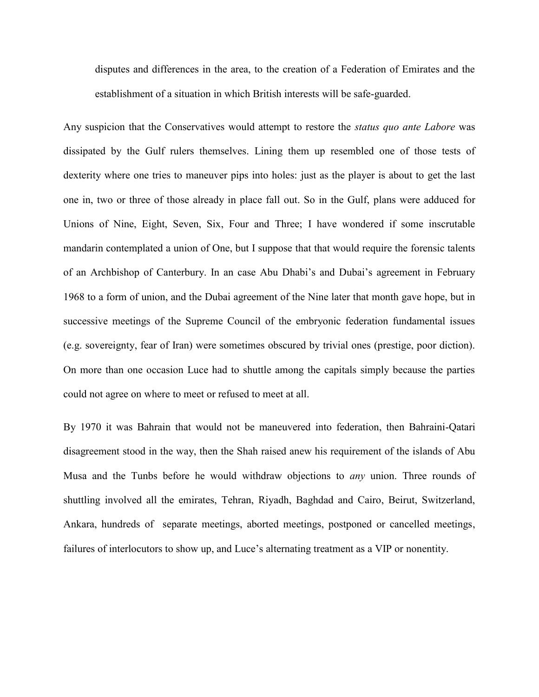disputes and differences in the area, to the creation of a Federation of Emirates and the establishment of a situation in which British interests will be safe-guarded.

Any suspicion that the Conservatives would attempt to restore the *status quo ante Labore* was dissipated by the Gulf rulers themselves. Lining them up resembled one of those tests of dexterity where one tries to maneuver pips into holes: just as the player is about to get the last one in, two or three of those already in place fall out. So in the Gulf, plans were adduced for Unions of Nine, Eight, Seven, Six, Four and Three; I have wondered if some inscrutable mandarin contemplated a union of One, but I suppose that that would require the forensic talents of an Archbishop of Canterbury. In an case Abu Dhabi"s and Dubai"s agreement in February 1968 to a form of union, and the Dubai agreement of the Nine later that month gave hope, but in successive meetings of the Supreme Council of the embryonic federation fundamental issues (e.g. sovereignty, fear of Iran) were sometimes obscured by trivial ones (prestige, poor diction). On more than one occasion Luce had to shuttle among the capitals simply because the parties could not agree on where to meet or refused to meet at all.

By 1970 it was Bahrain that would not be maneuvered into federation, then Bahraini-Qatari disagreement stood in the way, then the Shah raised anew his requirement of the islands of Abu Musa and the Tunbs before he would withdraw objections to *any* union. Three rounds of shuttling involved all the emirates, Tehran, Riyadh, Baghdad and Cairo, Beirut, Switzerland, Ankara, hundreds of separate meetings, aborted meetings, postponed or cancelled meetings, failures of interlocutors to show up, and Luce's alternating treatment as a VIP or nonentity.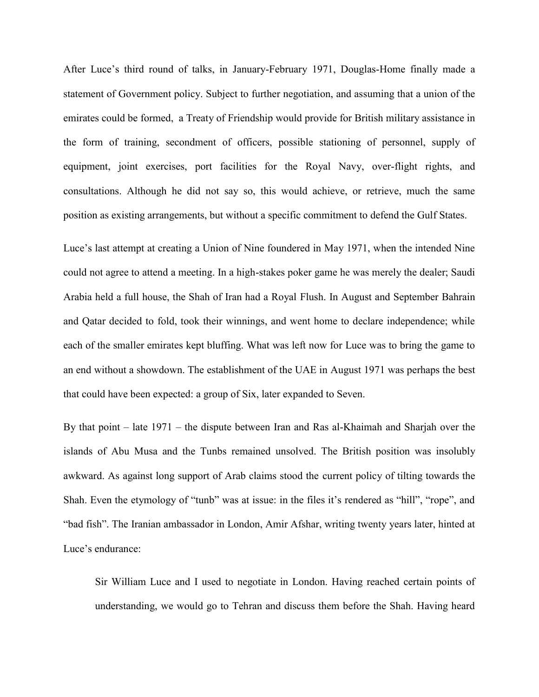After Luce's third round of talks, in January-February 1971, Douglas-Home finally made a statement of Government policy. Subject to further negotiation, and assuming that a union of the emirates could be formed, a Treaty of Friendship would provide for British military assistance in the form of training, secondment of officers, possible stationing of personnel, supply of equipment, joint exercises, port facilities for the Royal Navy, over-flight rights, and consultations. Although he did not say so, this would achieve, or retrieve, much the same position as existing arrangements, but without a specific commitment to defend the Gulf States.

Luce's last attempt at creating a Union of Nine foundered in May 1971, when the intended Nine could not agree to attend a meeting. In a high-stakes poker game he was merely the dealer; Saudi Arabia held a full house, the Shah of Iran had a Royal Flush. In August and September Bahrain and Qatar decided to fold, took their winnings, and went home to declare independence; while each of the smaller emirates kept bluffing. What was left now for Luce was to bring the game to an end without a showdown. The establishment of the UAE in August 1971 was perhaps the best that could have been expected: a group of Six, later expanded to Seven.

By that point – late 1971 – the dispute between Iran and Ras al-Khaimah and Sharjah over the islands of Abu Musa and the Tunbs remained unsolved. The British position was insolubly awkward. As against long support of Arab claims stood the current policy of tilting towards the Shah. Even the etymology of "tunb" was at issue: in the files it's rendered as "hill", "rope", and "bad fish". The Iranian ambassador in London, Amir Afshar, writing twenty years later, hinted at Luce's endurance:

Sir William Luce and I used to negotiate in London. Having reached certain points of understanding, we would go to Tehran and discuss them before the Shah. Having heard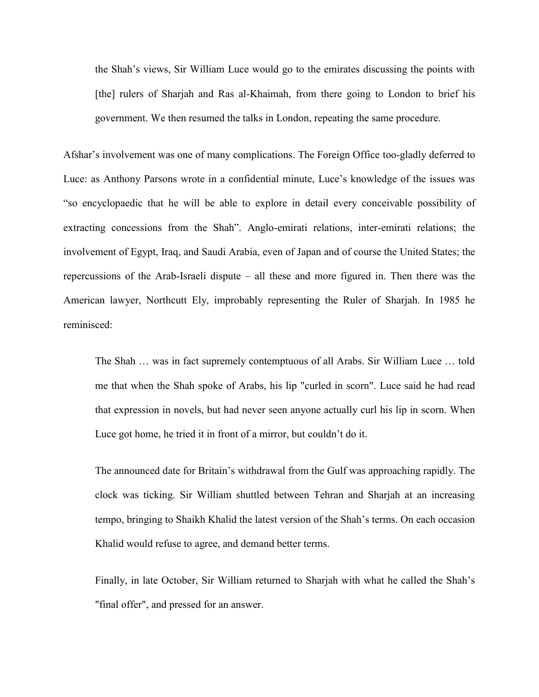the Shah"s views, Sir William Luce would go to the emirates discussing the points with [the] rulers of Sharjah and Ras al-Khaimah, from there going to London to brief his government. We then resumed the talks in London, repeating the same procedure.

Afshar"s involvement was one of many complications. The Foreign Office too-gladly deferred to Luce: as Anthony Parsons wrote in a confidential minute, Luce"s knowledge of the issues was "so encyclopaedic that he will be able to explore in detail every conceivable possibility of extracting concessions from the Shah". Anglo-emirati relations, inter-emirati relations; the involvement of Egypt, Iraq, and Saudi Arabia, even of Japan and of course the United States; the repercussions of the Arab-Israeli dispute – all these and more figured in. Then there was the American lawyer, Northcutt Ely, improbably representing the Ruler of Sharjah. In 1985 he reminisced:

The Shah … was in fact supremely contemptuous of all Arabs. Sir William Luce … told me that when the Shah spoke of Arabs, his lip "curled in scorn". Luce said he had read that expression in novels, but had never seen anyone actually curl his lip in scorn. When Luce got home, he tried it in front of a mirror, but couldn"t do it.

The announced date for Britain"s withdrawal from the Gulf was approaching rapidly. The clock was ticking. Sir William shuttled between Tehran and Sharjah at an increasing tempo, bringing to Shaikh Khalid the latest version of the Shah"s terms. On each occasion Khalid would refuse to agree, and demand better terms.

Finally, in late October, Sir William returned to Sharjah with what he called the Shah"s "final offer", and pressed for an answer.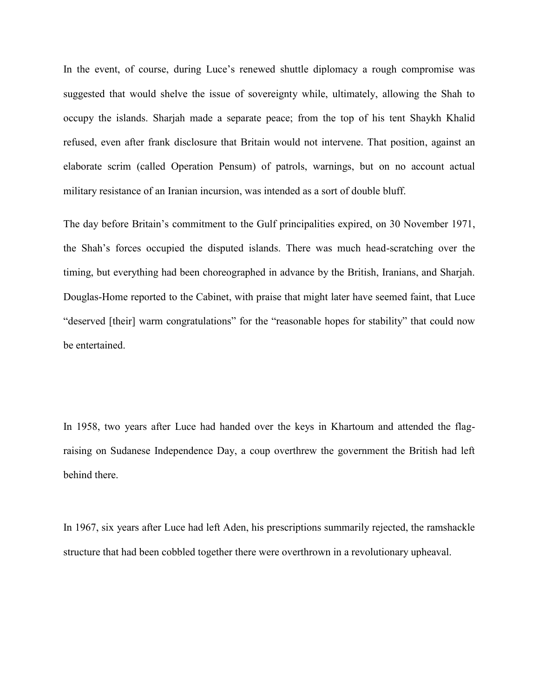In the event, of course, during Luce's renewed shuttle diplomacy a rough compromise was suggested that would shelve the issue of sovereignty while, ultimately, allowing the Shah to occupy the islands. Sharjah made a separate peace; from the top of his tent Shaykh Khalid refused, even after frank disclosure that Britain would not intervene. That position, against an elaborate scrim (called Operation Pensum) of patrols, warnings, but on no account actual military resistance of an Iranian incursion, was intended as a sort of double bluff.

The day before Britain"s commitment to the Gulf principalities expired, on 30 November 1971, the Shah"s forces occupied the disputed islands. There was much head-scratching over the timing, but everything had been choreographed in advance by the British, Iranians, and Sharjah. Douglas-Home reported to the Cabinet, with praise that might later have seemed faint, that Luce "deserved [their] warm congratulations" for the "reasonable hopes for stability" that could now be entertained.

In 1958, two years after Luce had handed over the keys in Khartoum and attended the flagraising on Sudanese Independence Day, a coup overthrew the government the British had left behind there.

In 1967, six years after Luce had left Aden, his prescriptions summarily rejected, the ramshackle structure that had been cobbled together there were overthrown in a revolutionary upheaval.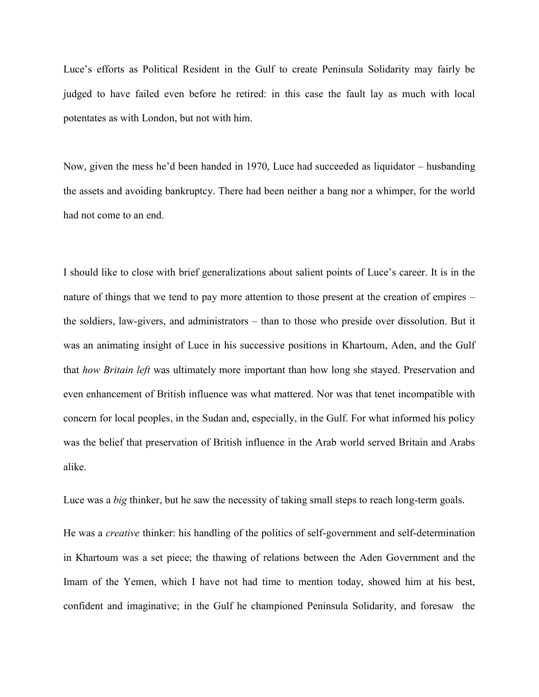Luce"s efforts as Political Resident in the Gulf to create Peninsula Solidarity may fairly be judged to have failed even before he retired: in this case the fault lay as much with local potentates as with London, but not with him.

Now, given the mess he"d been handed in 1970, Luce had succeeded as liquidator – husbanding the assets and avoiding bankruptcy. There had been neither a bang nor a whimper, for the world had not come to an end.

I should like to close with brief generalizations about salient points of Luce"s career. It is in the nature of things that we tend to pay more attention to those present at the creation of empires – the soldiers, law-givers, and administrators – than to those who preside over dissolution. But it was an animating insight of Luce in his successive positions in Khartoum, Aden, and the Gulf that *how Britain left* was ultimately more important than how long she stayed. Preservation and even enhancement of British influence was what mattered. Nor was that tenet incompatible with concern for local peoples, in the Sudan and, especially, in the Gulf. For what informed his policy was the belief that preservation of British influence in the Arab world served Britain and Arabs alike.

Luce was a *big* thinker, but he saw the necessity of taking small steps to reach long-term goals.

He was a *creative* thinker: his handling of the politics of self-government and self-determination in Khartoum was a set piece; the thawing of relations between the Aden Government and the Imam of the Yemen, which I have not had time to mention today, showed him at his best, confident and imaginative; in the Gulf he championed Peninsula Solidarity, and foresaw the